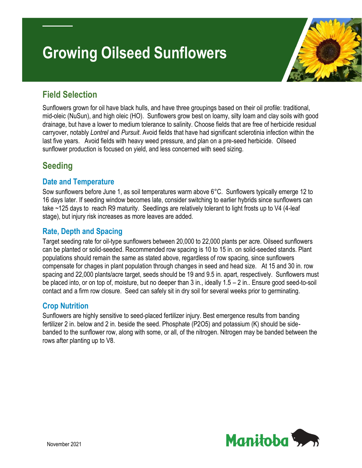# **Growing Oilseed Sunflowers**



# **Field Selection**

Sunflowers grown for oil have black hulls, and have three groupings based on their oil profile: traditional, mid-oleic (NuSun), and high oleic (HO). Sunflowers grow best on loamy, silty loam and clay soils with good drainage, but have a lower to medium tolerance to salinity. Choose fields that are free of herbicide residual carryover, notably *Lontrel* and *Pursuit*. Avoid fields that have had significant sclerotinia infection within the last five years. Avoid fields with heavy weed pressure, and plan on a pre-seed herbicide. Oilseed sunflower production is focused on yield, and less concerned with seed sizing.

# **Seeding**

## **Date and Temperature**

Sow sunflowers before June 1, as soil temperatures warm above 6°C. Sunflowers typically emerge 12 to 16 days later. If seeding window becomes late, consider switching to earlier hybrids since sunflowers can take ~125 days to reach R9 maturity. Seedlings are relatively tolerant to light frosts up to V4 (4-leaf stage), but injury risk increases as more leaves are added.

## **Rate, Depth and Spacing**

Target seeding rate for oil-type sunflowers between 20,000 to 22,000 plants per acre. Oilseed sunflowers can be planted or solid-seeded. Recommended row spacing is 10 to 15 in. on solid-seeded stands. Plant populations should remain the same as stated above, regardless of row spacing, since sunflowers compensate for chages in plant population through changes in seed and head size. At 15 and 30 in. row spacing and 22,000 plants/acre target, seeds should be 19 and 9.5 in. apart, respectively. Sunflowers must be placed into, or on top of, moisture, but no deeper than 3 in., ideally 1.5 – 2 in.. Ensure good seed-to-soil contact and a firm row closure. Seed can safely sit in dry soil for several weeks prior to germinating.

## **Crop Nutrition**

Sunflowers are highly sensitive to seed-placed fertilizer injury. Best emergence results from banding fertilizer 2 in. below and 2 in. beside the seed. Phosphate (P2O5) and potassium (K) should be sidebanded to the sunflower row, along with some, or all, of the nitrogen. Nitrogen may be banded between the rows after planting up to V8.

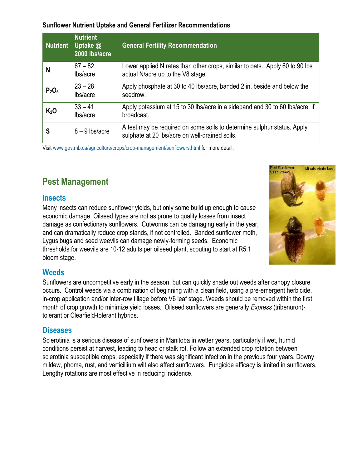#### **Sunflower Nutrient Uptake and General Fertilizer Recommendations**

| <b>Nutrient</b>               | <b>Nutrient</b><br>Uptake @<br>2000 lbs/acre | <b>General Fertility Recommendation</b>                                                                                   |
|-------------------------------|----------------------------------------------|---------------------------------------------------------------------------------------------------------------------------|
| N                             | $67 - 82$<br>lbs/acre                        | Lower applied N rates than other crops, similar to oats. Apply 60 to 90 lbs<br>actual N/acre up to the V8 stage.          |
| P <sub>2</sub> O <sub>5</sub> | $23 - 28$<br>lbs/acre                        | Apply phosphate at 30 to 40 lbs/acre, banded 2 in. beside and below the<br>seedrow.                                       |
| K <sub>2</sub> O              | $33 - 41$<br>lbs/acre                        | Apply potassium at 15 to 30 lbs/acre in a sideband and 30 to 60 lbs/acre, if<br>broadcast.                                |
| S                             | $8 - 9$ lbs/acre                             | A test may be required on some soils to determine sulphur status. Apply<br>sulphate at 20 lbs/acre on well-drained soils. |

Visit [www.gov.mb.ca/agriculture/crops/crop-management/sunflowers.html](https://www.gov.mb.ca/agriculture/crops/crop-management/sunflowers.html) for more detail.

# **Pest Management**

#### **Insects**

Many insects can reduce sunflower yields, but only some build up enough to cause economic damage. Oilseed types are not as prone to quality losses from insect damage as confectionary sunflowers. Cutworms can be damaging early in the year, and can dramatically reduce crop stands, if not controlled. Banded sunflower moth, Lygus bugs and seed weevils can damage newly-forming seeds. Economic thresholds for weevils are 10-12 adults per oilseed plant, scouting to start at R5.1 bloom stage.



#### **Weeds**

Sunflowers are uncompetitive early in the season, but can quickly shade out weeds after canopy closure occurs. Control weeds via a combination of beginning with a clean field, using a pre-emergent herbicide, in-crop application and/or inter-row tillage before V6 leaf stage. Weeds should be removed within the first month of crop growth to minimize yield losses. Oilseed sunflowers are generally *Express* (tribenuron) tolerant or Clearfield-tolerant hybrids.

#### **Diseases**

Sclerotinia is a serious disease of sunflowers in Manitoba in wetter years, particularly if wet, humid conditions persist at harvest, leading to head or stalk rot. Follow an extended crop rotation between sclerotinia susceptible crops, especially if there was significant infection in the previous four years. Downy mildew, phoma, rust, and verticillium wilt also affect sunflowers. Fungicide efficacy is limited in sunflowers. Lengthy rotations are most effective in reducing incidence.